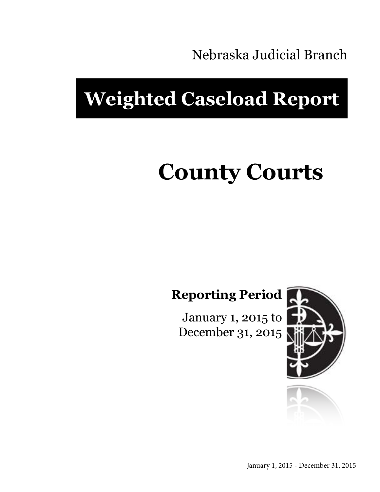Nebraska Judicial Branch

## **Weighted Caseload Report**

# **County Courts**

**Reporting Period**

January 1, 2015 to December 31, 2015



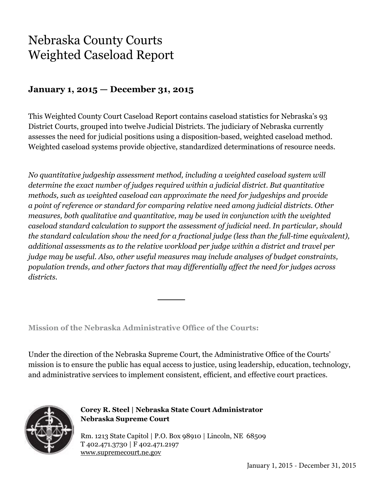### Nebraska County Courts Weighted Caseload Report

#### **January 1, 2015 — December 31, 2015**

This Weighted County Court Caseload Report contains caseload statistics for Nebraska's 93 District Courts, grouped into twelve Judicial Districts. The judiciary of Nebraska currently assesses the need for judicial positions using a disposition-based, weighted caseload method. Weighted caseload systems provide objective, standardized determinations of resource needs.

*No quantitative judgeship assessment method, including a weighted caseload system will determine the exact number of judges required within a judicial district. But quantitative methods, such as weighted caseload can approximate the need for judgeships and provide a point of reference or standard for comparing relative need among judicial districts. Other measures, both qualitative and quantitative, may be used in conjunction with the weighted caseload standard calculation to support the assessment of judicial need. In particular, should the standard calculation show the need for a fractional judge (less than the full-time equivalent), additional assessments as to the relative workload per judge within a district and travel per judge may be useful. Also, other useful measures may include analyses of budget constraints, population trends, and other factors that may differentially affect the need for judges across districts.*

**Mission of the Nebraska Administrative Office of the Courts:**

Under the direction of the Nebraska Supreme Court, the Administrative Office of the Courts' mission is to ensure the public has equal access to justice, using leadership, education, technology, and administrative services to implement consistent, efficient, and effective court practices.



**Corey R. Steel | Nebraska State Court Administrator Nebraska Supreme Court**

Rm. 1213 State Capitol | P.O. Box 98910 | Lincoln, NE 68509 T 402.471.3730 | F 402.471.2197 www.supremecourt.ne.gov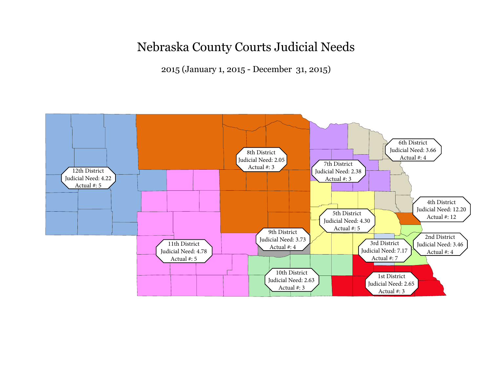### Nebraska County Courts Judicial Needs

2015 (January 1, 2015 - December 31, 2015)

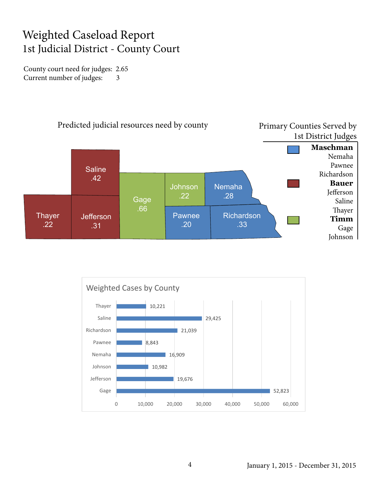#### Weighted Caseload Report 1st Judicial District - County Court

County court need for judges: 2.65 Current number of judges: 3



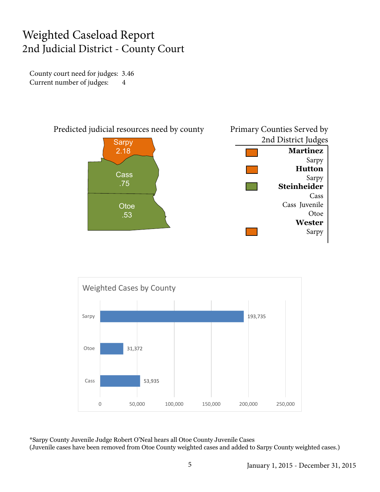#### Weighted Caseload Report 2nd Judicial District - County Court

County court need for judges: 3.46 Current number of judges: 4





\*Sarpy County Juvenile Judge Robert O'Neal hears all Otoe County Juvenile Cases (Juvenile cases have been removed from Otoe County weighted cases and added to Sarpy County weighted cases.)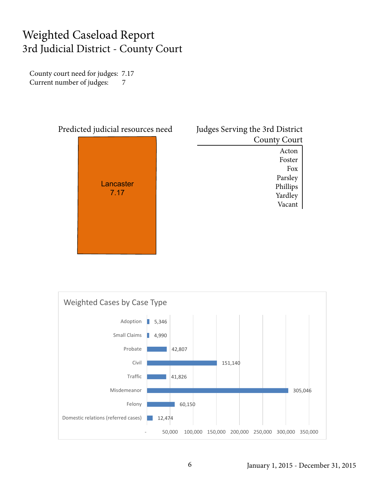#### Weighted Caseload Report 3rd Judicial District - County Court

County court need for judges: 7.17 Current number of judges: 7



| Judges Serving the 3rd District |                     |
|---------------------------------|---------------------|
|                                 | <b>County Court</b> |
|                                 | Acton               |
|                                 | Foster              |
|                                 | Fox                 |
|                                 | Parsley             |
|                                 | Phillips            |
|                                 | Yardley             |
|                                 | Vacant              |
|                                 |                     |



#### January 1, 2015 - December 31, 2015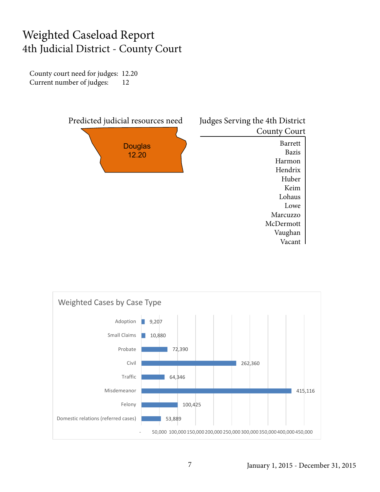#### Weighted Caseload Report 4th Judicial District - County Court

County court need for judges: 12.20 Current number of judges: 12



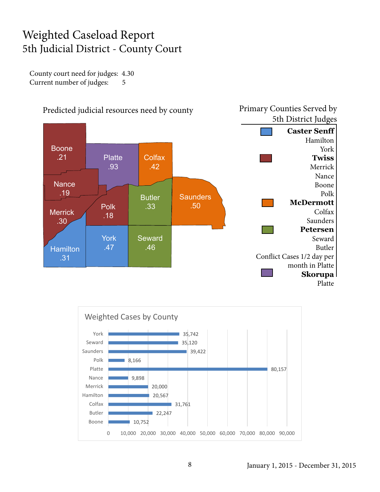#### Weighted Caseload Report 5th Judicial District - County Court

County court need for judges: 4.30 Current number of judges: 5





8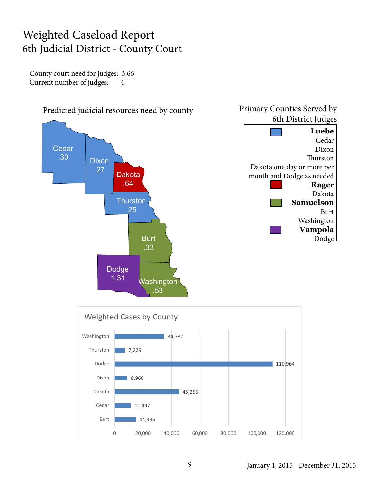#### Weighted Caseload Report 6th Judicial District - County Court

County court need for judges: 3.66 Current number of judges: 4

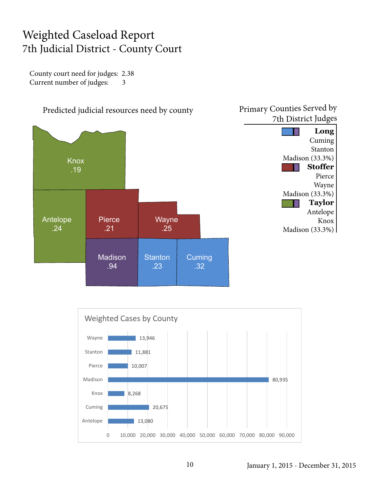#### Weighted Caseload Report 7th Judicial District - County Court

County court need for judges: 2.38 Current number of judges: 3



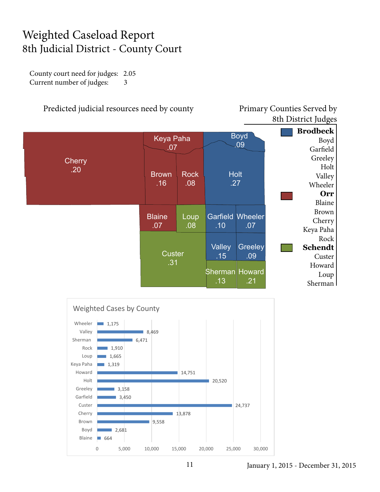#### Weighted Caseload Report 8th Judicial District - County Court

County court need for judges: 2.05 Current number of judges: 3



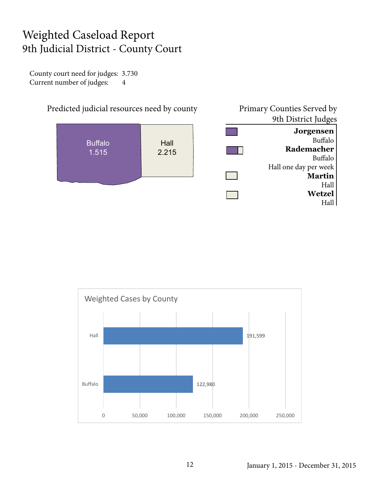#### Weighted Caseload Report 9th Judicial District - County Court

County court need for judges: 3.730 Current number of judges: 4





January 1, 2015 - December 31, 2015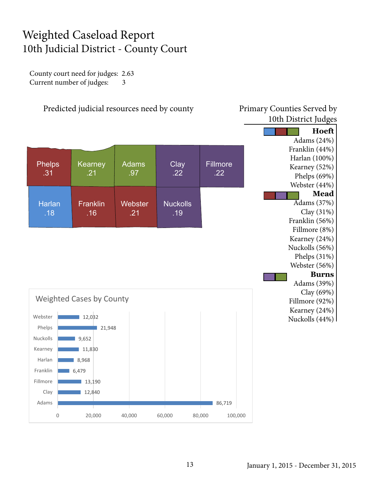#### Weighted Caseload Report 10th Judicial District - County Court

County court need for judges: 2.63 Current number of judges: 3

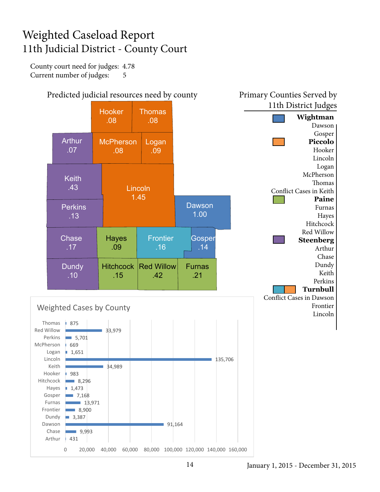#### Weighted Caseload Report 11th Judicial District - County Court

County court need for judges: 4.78 Current number of judges: 5